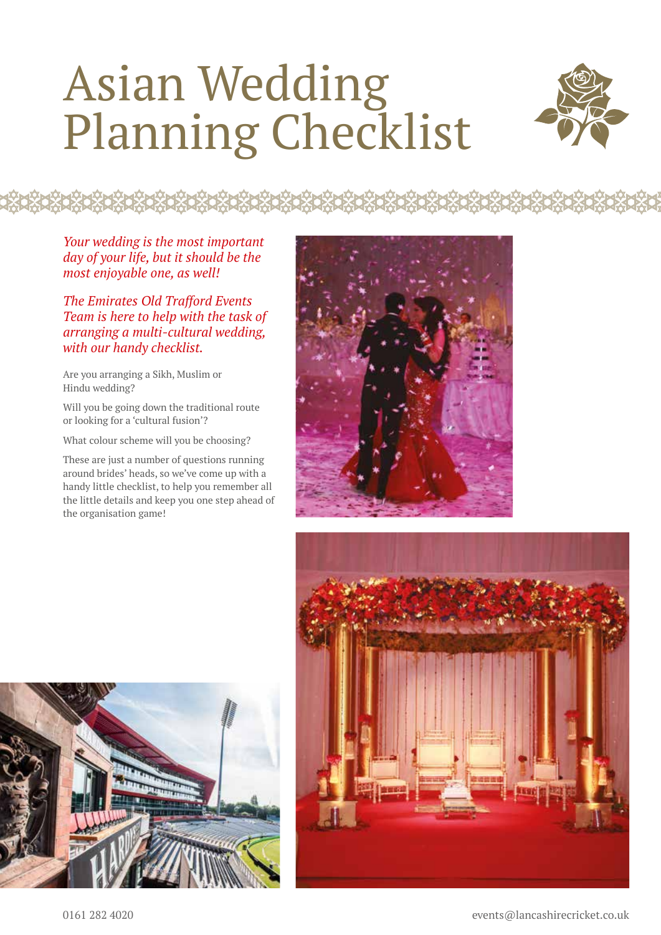## Asian Wedding Planning Checklist

**ŔŎŔŎŔŎŔŎŔŎŔŎŔŎŔŎŔŎŔŎŔŎŔŎŔŎŔŎŔŎŔŎŔŎŔ** 



*Your wedding is the most important day of your life, but it should be the most enjoyable one, as well!*

*The Emirates Old Trafford Events Team is here to help with the task of arranging a multi-cultural wedding, with our handy checklist.*

Are you arranging a Sikh, Muslim or Hindu wedding?

Will you be going down the traditional route or looking for a 'cultural fusion'?

What colour scheme will you be choosing?

These are just a number of questions running around brides' heads, so we've come up with a handy little checklist, to help you remember all the little details and keep you one step ahead of the organisation game!